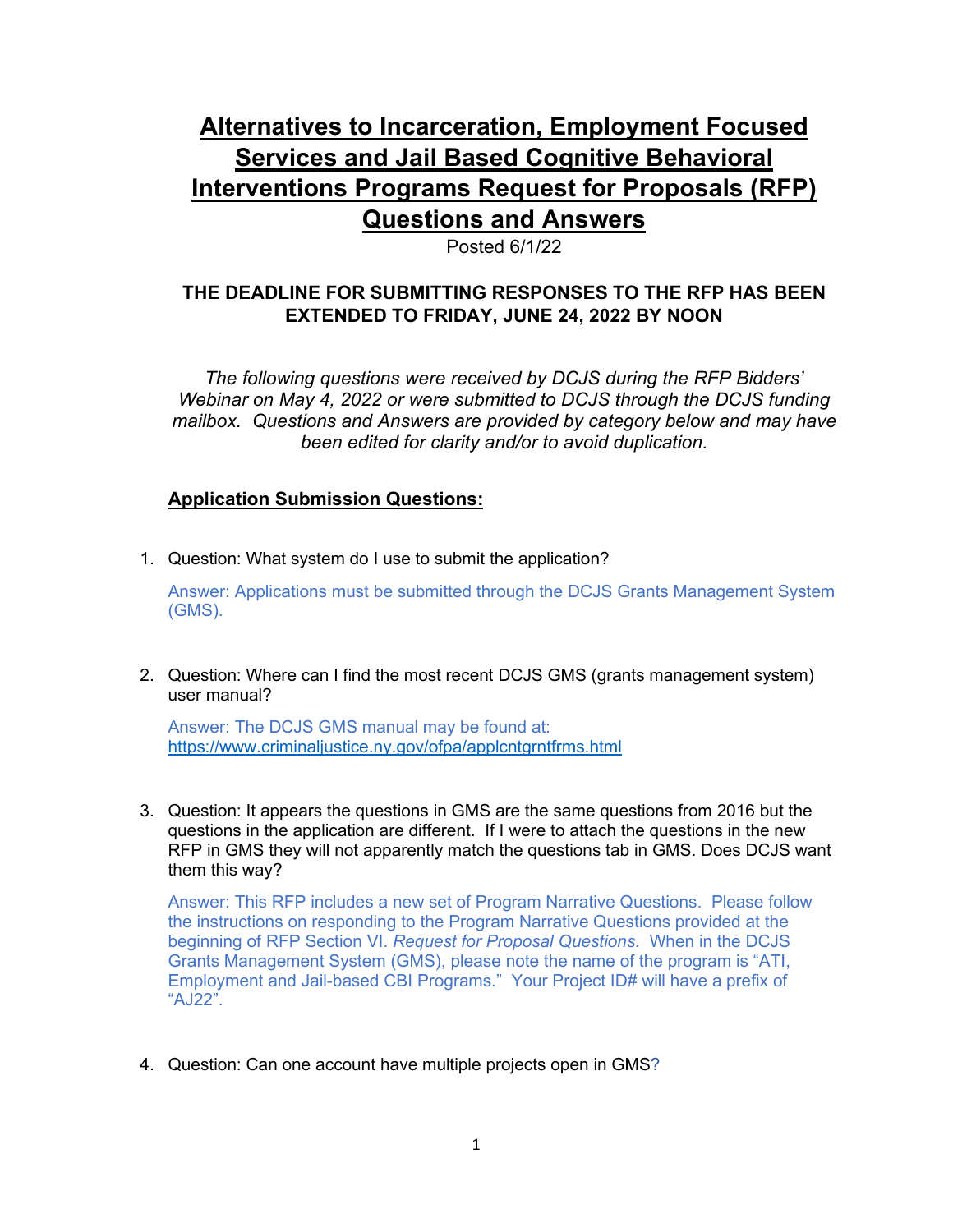# **Alternatives to Incarceration, Employment Focused Services and Jail Based Cognitive Behavioral Interventions Programs Request for Proposals (RFP) Questions and Answers**

Posted 6/1/22

# **THE DEADLINE FOR SUBMITTING RESPONSES TO THE RFP HAS BEEN EXTENDED TO FRIDAY, JUNE 24, 2022 BY NOON**

*The following questions were received by DCJS during the RFP Bidders' Webinar on May 4, 2022 or were submitted to DCJS through the DCJS funding mailbox. Questions and Answers are provided by category below and may have been edited for clarity and/or to avoid duplication.*

# **Application Submission Questions:**

1. Question: What system do I use to submit the application?

Answer: Applications must be submitted through the DCJS Grants Management System (GMS).

2. Question: Where can I find the most recent DCJS GMS (grants management system) user manual?

Answer: The DCJS GMS manual may be found at: <https://www.criminaljustice.ny.gov/ofpa/applcntgrntfrms.html>

3. Question: It appears the questions in GMS are the same questions from 2016 but the questions in the application are different. If I were to attach the questions in the new RFP in GMS they will not apparently match the questions tab in GMS. Does DCJS want them this way?

Answer: This RFP includes a new set of Program Narrative Questions. Please follow the instructions on responding to the Program Narrative Questions provided at the beginning of RFP Section VI. *Request for Proposal Questions.* When in the DCJS Grants Management System (GMS), please note the name of the program is "ATI, Employment and Jail-based CBI Programs." Your Project ID# will have a prefix of "AJ22".

4. Question: Can one account have multiple projects open in GMS?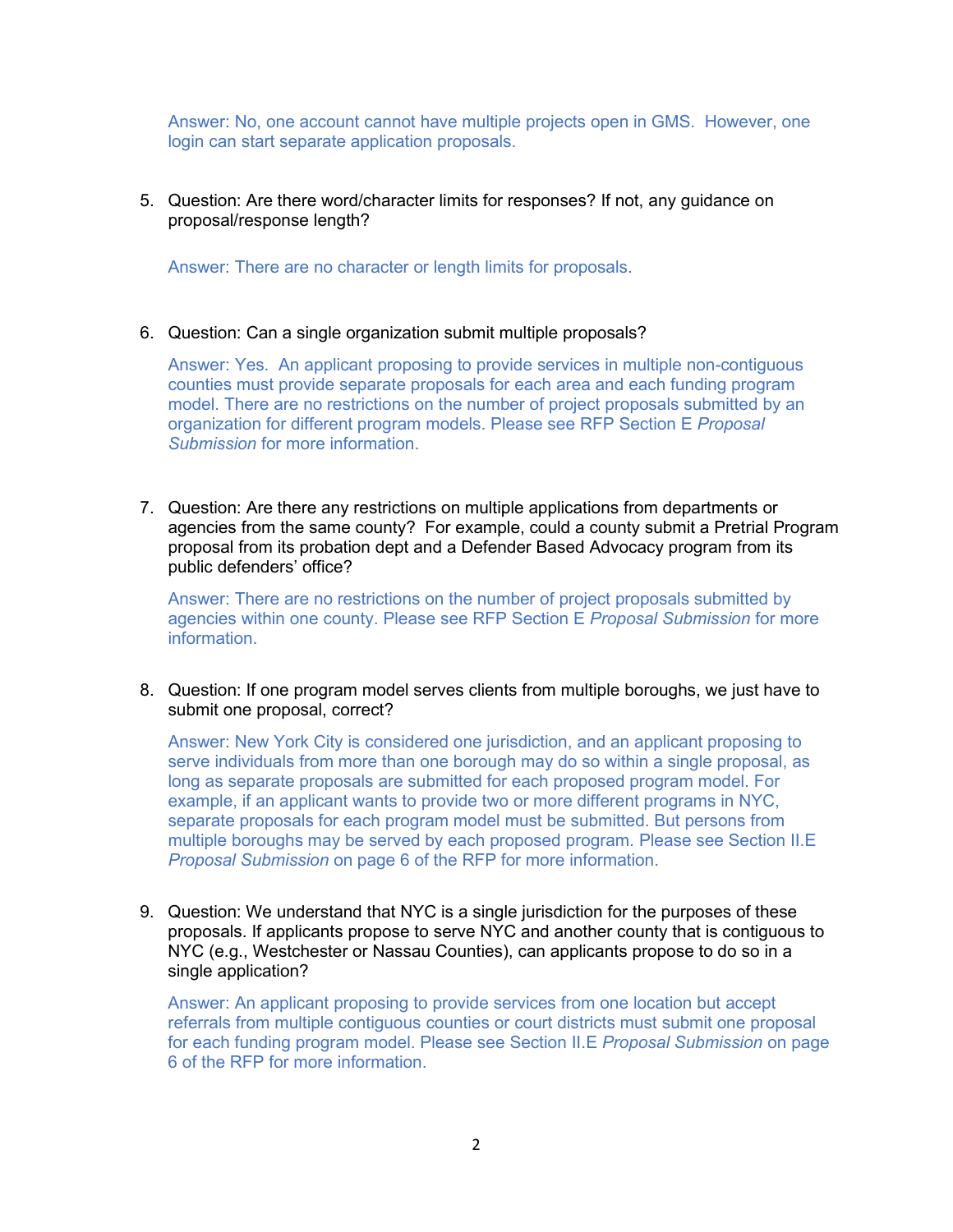Answer: No, one account cannot have multiple projects open in GMS. However, one login can start separate application proposals.

#### 5. Question: Are there word/character limits for responses? If not, any guidance on proposal/response length?

Answer: There are no character or length limits for proposals.

#### 6. Question: Can a single organization submit multiple proposals?

Answer: Yes. An applicant proposing to provide services in multiple non-contiguous counties must provide separate proposals for each area and each funding program model. There are no restrictions on the number of project proposals submitted by an organization for different program models. Please see RFP Section E *Proposal Submission* for more information.

7. Question: Are there any restrictions on multiple applications from departments or agencies from the same county? For example, could a county submit a Pretrial Program proposal from its probation dept and a Defender Based Advocacy program from its public defenders' office?

Answer: There are no restrictions on the number of project proposals submitted by agencies within one county. Please see RFP Section E *Proposal Submission* for more **information** 

8. Question: If one program model serves clients from multiple boroughs, we just have to submit one proposal, correct?

Answer: New York City is considered one jurisdiction, and an applicant proposing to serve individuals from more than one borough may do so within a single proposal, as long as separate proposals are submitted for each proposed program model. For example, if an applicant wants to provide two or more different programs in NYC, separate proposals for each program model must be submitted. But persons from multiple boroughs may be served by each proposed program. Please see Section II.E *Proposal Submission* on page 6 of the RFP for more information.

9. Question: We understand that NYC is a single jurisdiction for the purposes of these proposals. If applicants propose to serve NYC and another county that is contiguous to NYC (e.g., Westchester or Nassau Counties), can applicants propose to do so in a single application?

Answer: An applicant proposing to provide services from one location but accept referrals from multiple contiguous counties or court districts must submit one proposal for each funding program model. Please see Section II.E *Proposal Submission* on page 6 of the RFP for more information.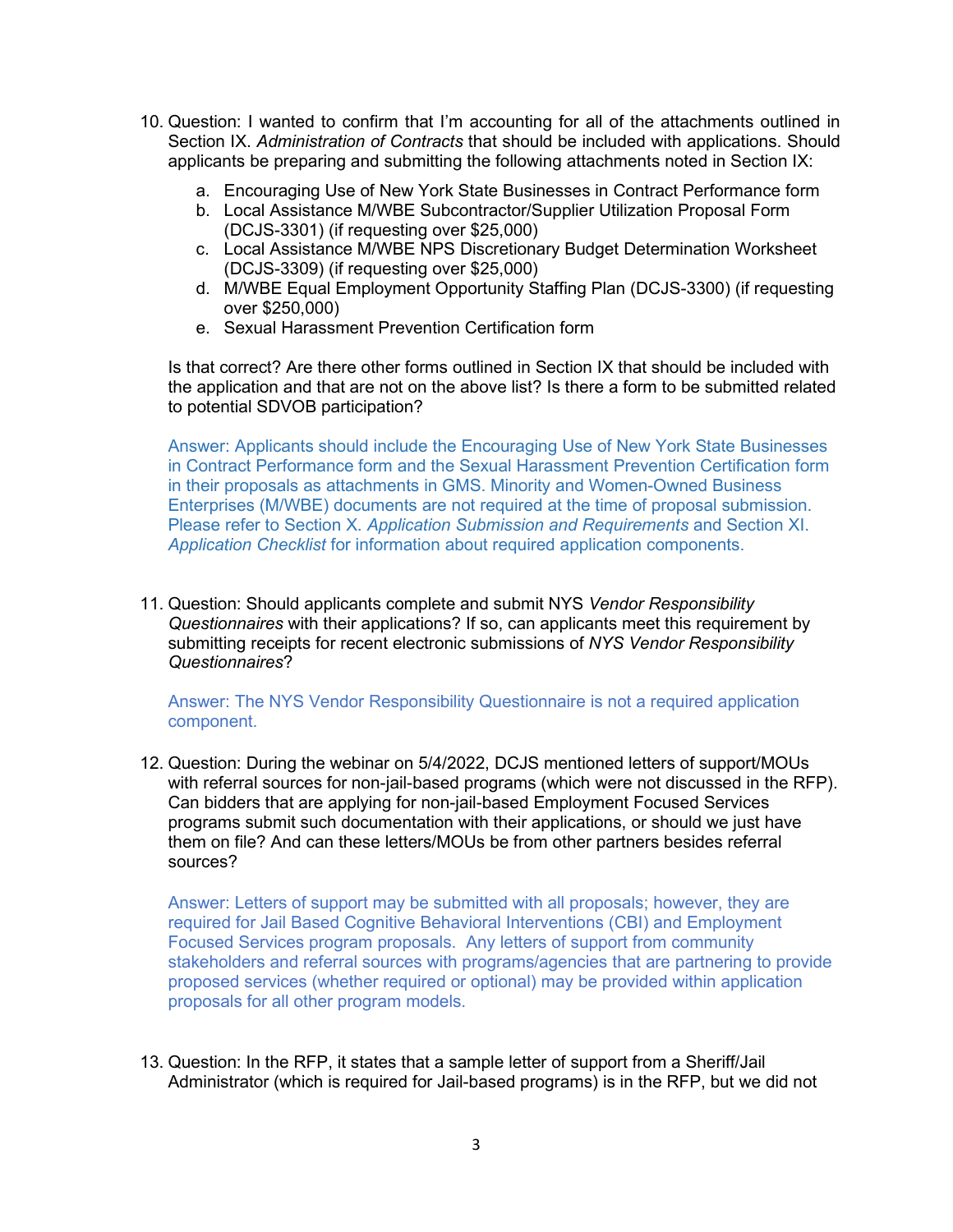- 10. Question: I wanted to confirm that I'm accounting for all of the attachments outlined in Section IX. *Administration of Contracts* that should be included with applications. Should applicants be preparing and submitting the following attachments noted in Section IX:
	- a. Encouraging Use of New York State Businesses in Contract Performance form
	- b. Local Assistance M/WBE Subcontractor/Supplier Utilization Proposal Form (DCJS-3301) (if requesting over \$25,000)
	- c. Local Assistance M/WBE NPS Discretionary Budget Determination Worksheet (DCJS-3309) (if requesting over \$25,000)
	- d. M/WBE Equal Employment Opportunity Staffing Plan (DCJS-3300) (if requesting over \$250,000)
	- e. Sexual Harassment Prevention Certification form

Is that correct? Are there other forms outlined in Section IX that should be included with the application and that are not on the above list? Is there a form to be submitted related to potential SDVOB participation?

Answer: Applicants should include the Encouraging Use of New York State Businesses in Contract Performance form and the Sexual Harassment Prevention Certification form in their proposals as attachments in GMS. Minority and Women-Owned Business Enterprises (M/WBE) documents are not required at the time of proposal submission. Please refer to Section X. *Application Submission and Requirements* and Section XI. *Application Checklist* for information about required application components.

11. Question: Should applicants complete and submit NYS *Vendor Responsibility Questionnaires* with their applications? If so, can applicants meet this requirement by submitting receipts for recent electronic submissions of *NYS Vendor Responsibility Questionnaires*?

Answer: The NYS Vendor Responsibility Questionnaire is not a required application component.

12. Question: During the webinar on 5/4/2022, DCJS mentioned letters of support/MOUs with referral sources for non-jail-based programs (which were not discussed in the RFP). Can bidders that are applying for non-jail-based Employment Focused Services programs submit such documentation with their applications, or should we just have them on file? And can these letters/MOUs be from other partners besides referral sources?

Answer: Letters of support may be submitted with all proposals; however, they are required for Jail Based Cognitive Behavioral Interventions (CBI) and Employment Focused Services program proposals. Any letters of support from community stakeholders and referral sources with programs/agencies that are partnering to provide proposed services (whether required or optional) may be provided within application proposals for all other program models.

13. Question: In the RFP, it states that a sample letter of support from a Sheriff/Jail Administrator (which is required for Jail-based programs) is in the RFP, but we did not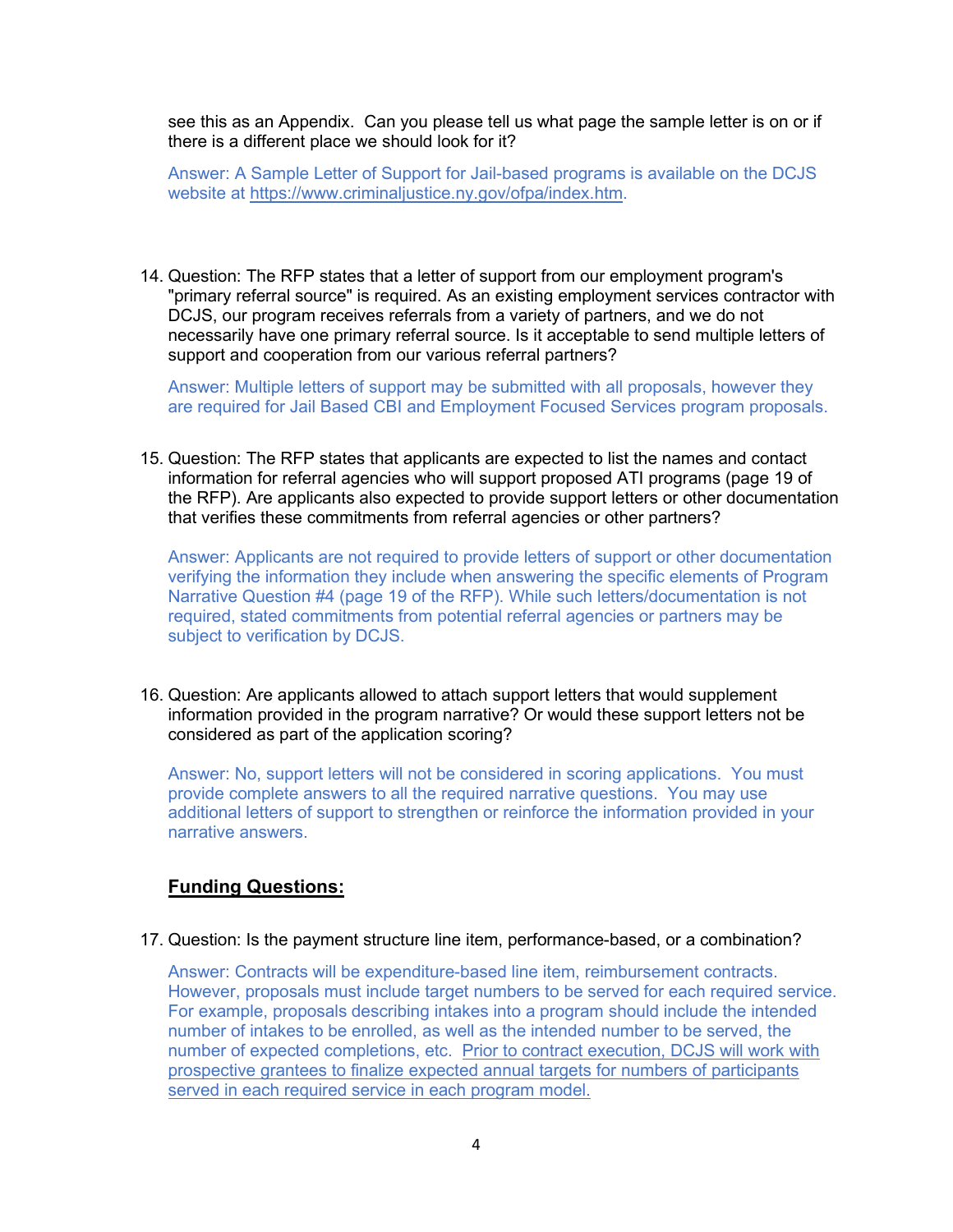see this as an Appendix. Can you please tell us what page the sample letter is on or if there is a different place we should look for it?

Answer: A Sample Letter of Support for Jail-based programs is available on the DCJS website at [https://www.criminaljustice.ny.gov/ofpa/index.htm.](https://www.criminaljustice.ny.gov/ofpa/index.htm)

14. Question: The RFP states that a letter of support from our employment program's "primary referral source" is required. As an existing employment services contractor with DCJS, our program receives referrals from a variety of partners, and we do not necessarily have one primary referral source. Is it acceptable to send multiple letters of support and cooperation from our various referral partners?

Answer: Multiple letters of support may be submitted with all proposals, however they are required for Jail Based CBI and Employment Focused Services program proposals.

15. Question: The RFP states that applicants are expected to list the names and contact information for referral agencies who will support proposed ATI programs (page 19 of the RFP). Are applicants also expected to provide support letters or other documentation that verifies these commitments from referral agencies or other partners?

Answer: Applicants are not required to provide letters of support or other documentation verifying the information they include when answering the specific elements of Program Narrative Question #4 (page 19 of the RFP). While such letters/documentation is not required, stated commitments from potential referral agencies or partners may be subject to verification by DCJS.

16. Question: Are applicants allowed to attach support letters that would supplement information provided in the program narrative? Or would these support letters not be considered as part of the application scoring?

Answer: No, support letters will not be considered in scoring applications. You must provide complete answers to all the required narrative questions. You may use additional letters of support to strengthen or reinforce the information provided in your narrative answers.

#### **Funding Questions:**

17. Question: Is the payment structure line item, performance-based, or a combination?

Answer: Contracts will be expenditure-based line item, reimbursement contracts. However, proposals must include target numbers to be served for each required service. For example, proposals describing intakes into a program should include the intended number of intakes to be enrolled, as well as the intended number to be served, the number of expected completions, etc. Prior to contract execution, DCJS will work with prospective grantees to finalize expected annual targets for numbers of participants served in each required service in each program model.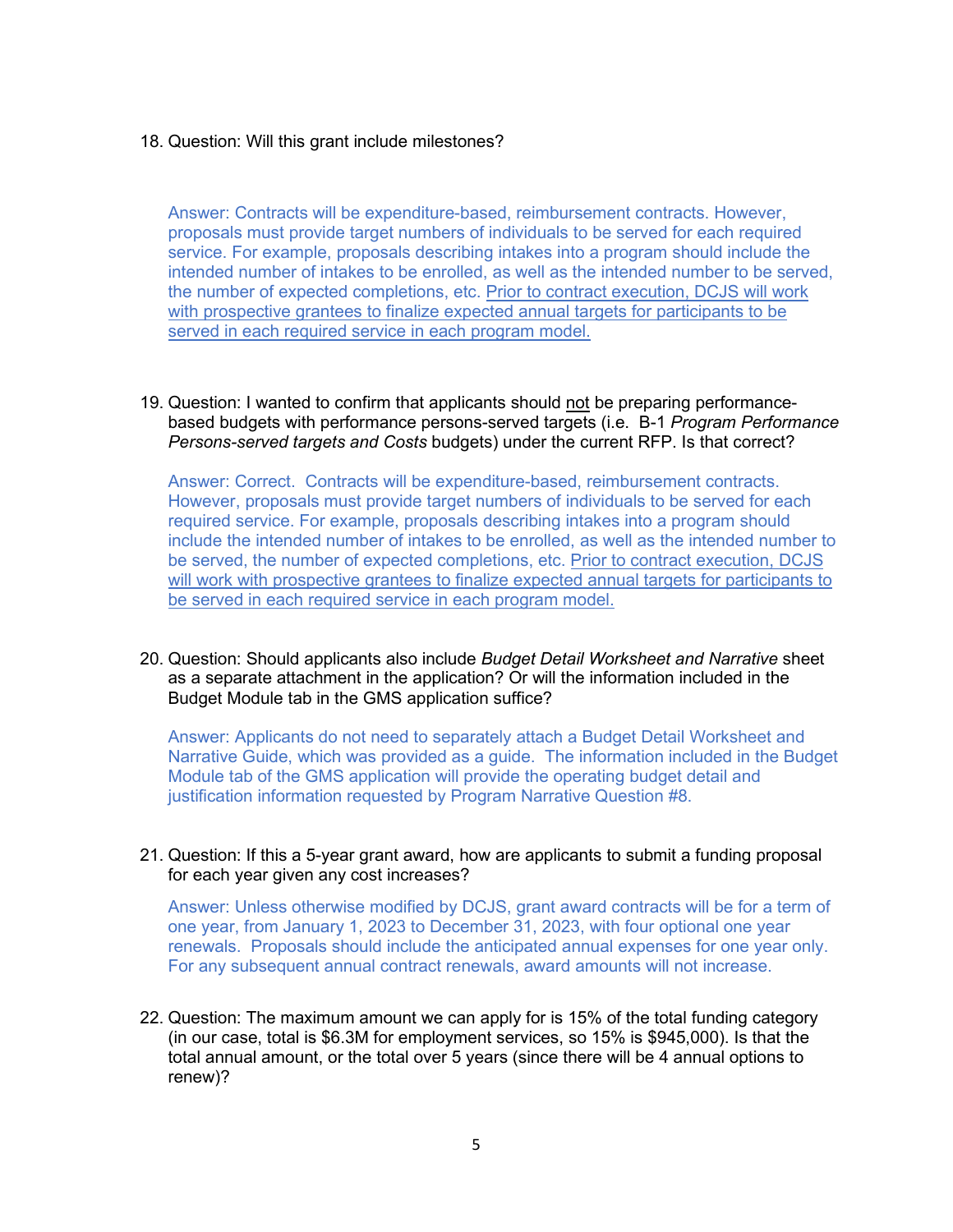#### 18. Question: Will this grant include milestones?

Answer: Contracts will be expenditure-based, reimbursement contracts. However, proposals must provide target numbers of individuals to be served for each required service. For example, proposals describing intakes into a program should include the intended number of intakes to be enrolled, as well as the intended number to be served, the number of expected completions, etc. Prior to contract execution, DCJS will work with prospective grantees to finalize expected annual targets for participants to be served in each required service in each program model.

19. Question: I wanted to confirm that applicants should not be preparing performancebased budgets with performance persons-served targets (i.e. B-1 *Program Performance Persons-served targets and Costs* budgets) under the current RFP. Is that correct?

Answer: Correct. Contracts will be expenditure-based, reimbursement contracts. However, proposals must provide target numbers of individuals to be served for each required service. For example, proposals describing intakes into a program should include the intended number of intakes to be enrolled, as well as the intended number to be served, the number of expected completions, etc. Prior to contract execution, DCJS will work with prospective grantees to finalize expected annual targets for participants to be served in each required service in each program model.

20. Question: Should applicants also include *Budget Detail Worksheet and Narrative* sheet as a separate attachment in the application? Or will the information included in the Budget Module tab in the GMS application suffice?

Answer: Applicants do not need to separately attach a Budget Detail Worksheet and Narrative Guide, which was provided as a guide. The information included in the Budget Module tab of the GMS application will provide the operating budget detail and justification information requested by Program Narrative Question #8.

21. Question: If this a 5-year grant award, how are applicants to submit a funding proposal for each year given any cost increases?

Answer: Unless otherwise modified by DCJS, grant award contracts will be for a term of one year, from January 1, 2023 to December 31, 2023, with four optional one year renewals. Proposals should include the anticipated annual expenses for one year only. For any subsequent annual contract renewals, award amounts will not increase.

22. Question: The maximum amount we can apply for is 15% of the total funding category (in our case, total is \$6.3M for employment services, so 15% is \$945,000). Is that the total annual amount, or the total over 5 years (since there will be 4 annual options to renew)?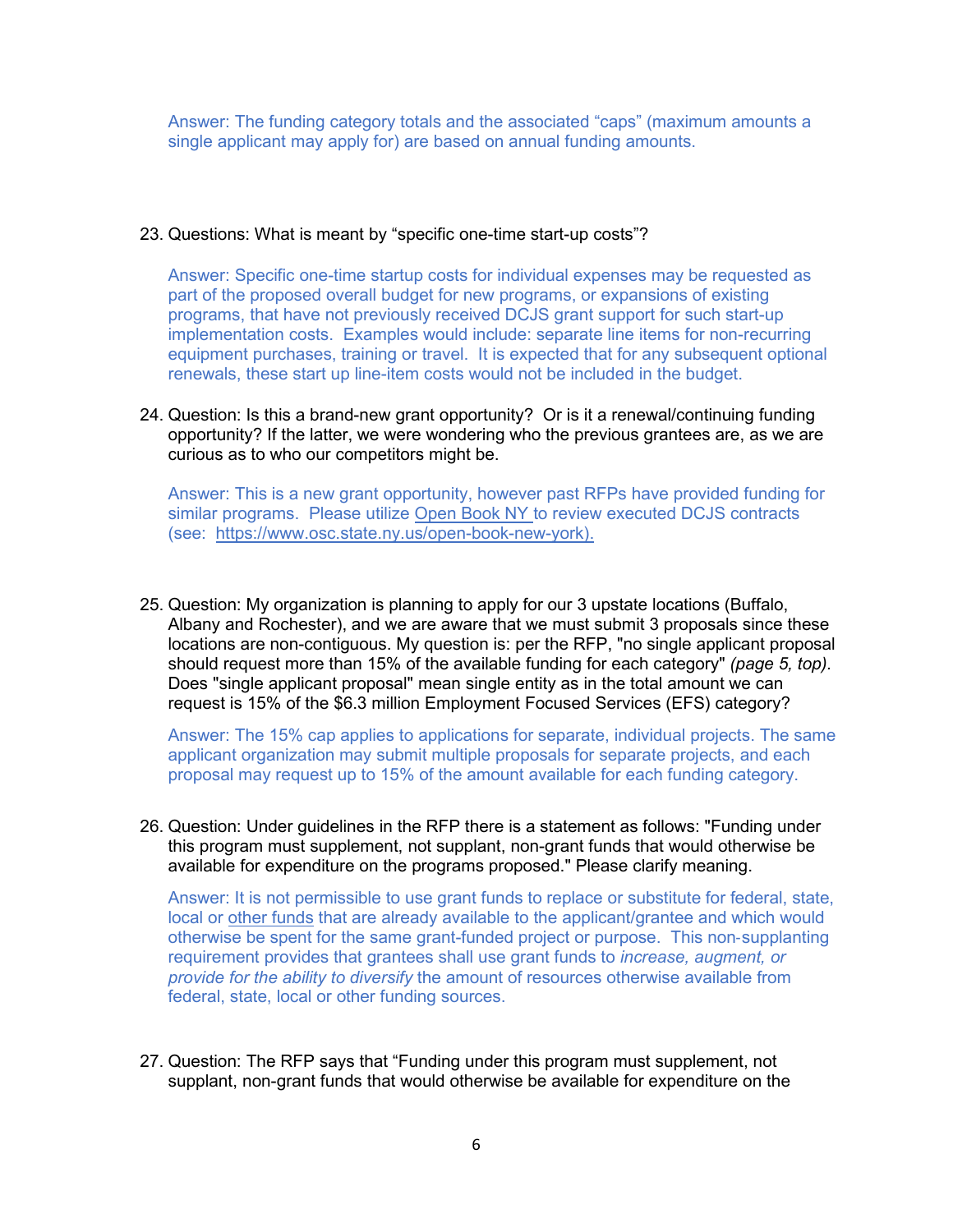Answer: The funding category totals and the associated "caps" (maximum amounts a single applicant may apply for) are based on annual funding amounts.

#### 23. Questions: What is meant by "specific one-time start-up costs"?

Answer: Specific one-time startup costs for individual expenses may be requested as part of the proposed overall budget for new programs, or expansions of existing programs, that have not previously received DCJS grant support for such start-up implementation costs. Examples would include: separate line items for non-recurring equipment purchases, training or travel. It is expected that for any subsequent optional renewals, these start up line-item costs would not be included in the budget.

24. Question: Is this a brand-new grant opportunity? Or is it a renewal/continuing funding opportunity? If the latter, we were wondering who the previous grantees are, as we are curious as to who our competitors might be.

Answer: This is a new grant opportunity, however past RFPs have provided funding for similar programs. Please utilize Open Book NY to review executed DCJS contracts (see: [https://www.osc.state.ny.us/open-book-new-york\)](https://www.osc.state.ny.us/open-book-new-york).

25. Question: My organization is planning to apply for our 3 upstate locations (Buffalo, Albany and Rochester), and we are aware that we must submit 3 proposals since these locations are non-contiguous. My question is: per the RFP, "no single applicant proposal should request more than 15% of the available funding for each category" *(page 5, top).*  Does "single applicant proposal" mean single entity as in the total amount we can request is 15% of the \$6.3 million Employment Focused Services (EFS) category?

Answer: The 15% cap applies to applications for separate, individual projects. The same applicant organization may submit multiple proposals for separate projects, and each proposal may request up to 15% of the amount available for each funding category.

26. Question: Under guidelines in the RFP there is a statement as follows: "Funding under this program must supplement, not supplant, non-grant funds that would otherwise be available for expenditure on the programs proposed." Please clarify meaning.

Answer: It is not permissible to use grant funds to replace or substitute for federal, state, local or other funds that are already available to the applicant/grantee and which would otherwise be spent for the same grant-funded project or purpose. This non‐supplanting requirement provides that grantees shall use grant funds to *increase, augment, or provide for the ability to diversify* the amount of resources otherwise available from federal, state, local or other funding sources.

27. Question: The RFP says that "Funding under this program must supplement, not supplant, non-grant funds that would otherwise be available for expenditure on the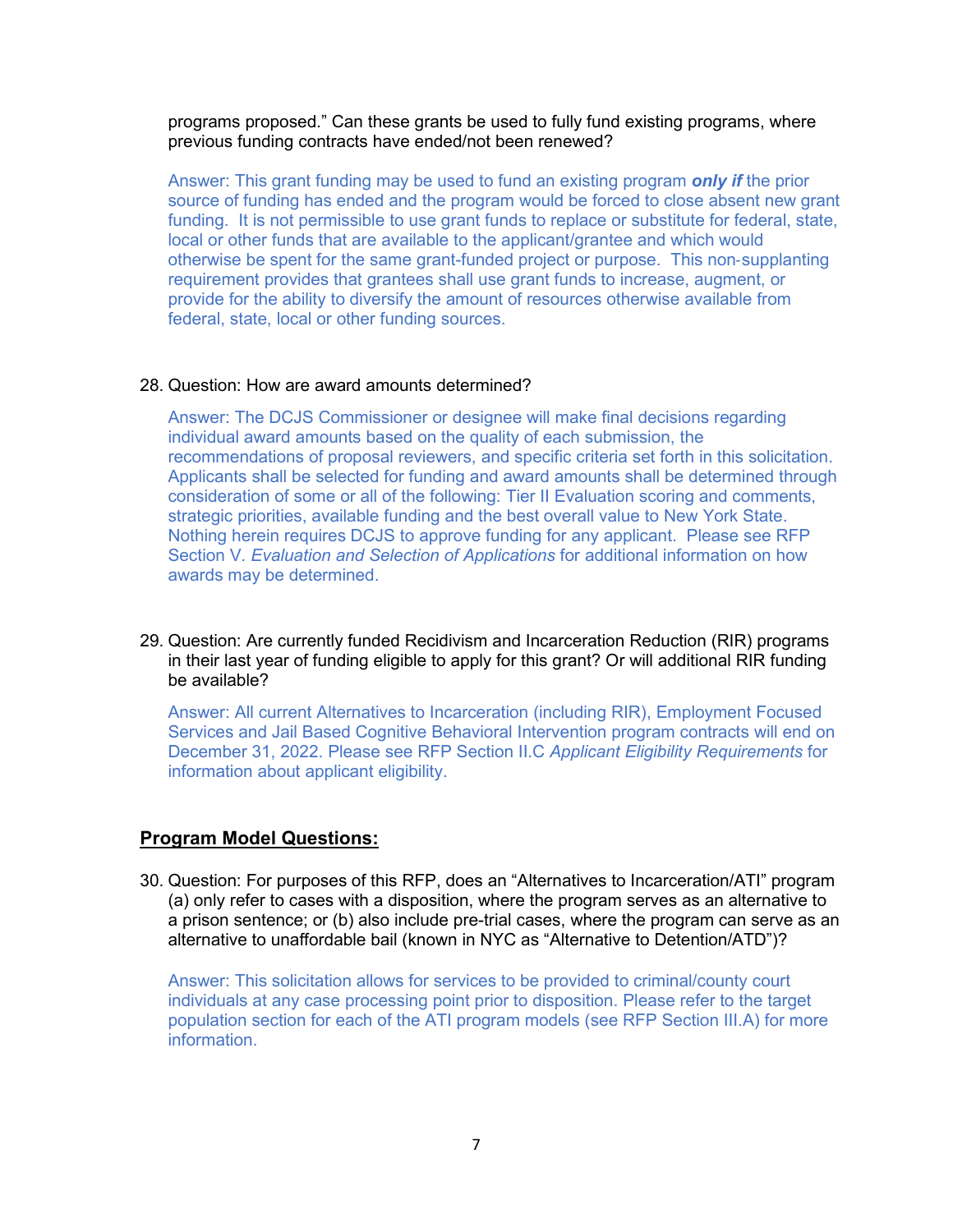programs proposed." Can these grants be used to fully fund existing programs, where previous funding contracts have ended/not been renewed?

Answer: This grant funding may be used to fund an existing program *only if* the prior source of funding has ended and the program would be forced to close absent new grant funding. It is not permissible to use grant funds to replace or substitute for federal, state, local or other funds that are available to the applicant/grantee and which would otherwise be spent for the same grant-funded project or purpose. This non‐supplanting requirement provides that grantees shall use grant funds to increase, augment, or provide for the ability to diversify the amount of resources otherwise available from federal, state, local or other funding sources.

#### 28. Question: How are award amounts determined?

Answer: The DCJS Commissioner or designee will make final decisions regarding individual award amounts based on the quality of each submission, the recommendations of proposal reviewers, and specific criteria set forth in this solicitation. Applicants shall be selected for funding and award amounts shall be determined through consideration of some or all of the following: Tier II Evaluation scoring and comments, strategic priorities, available funding and the best overall value to New York State. Nothing herein requires DCJS to approve funding for any applicant. Please see RFP Section V*. Evaluation and Selection of Applications* for additional information on how awards may be determined.

29. Question: Are currently funded Recidivism and Incarceration Reduction (RIR) programs in their last year of funding eligible to apply for this grant? Or will additional RIR funding be available?

Answer: All current Alternatives to Incarceration (including RIR), Employment Focused Services and Jail Based Cognitive Behavioral Intervention program contracts will end on December 31, 2022. Please see RFP Section II.C *Applicant Eligibility Requirements* for information about applicant eligibility.

### **Program Model Questions:**

30. Question: For purposes of this RFP, does an "Alternatives to Incarceration/ATI" program (a) only refer to cases with a disposition, where the program serves as an alternative to a prison sentence; or (b) also include pre-trial cases, where the program can serve as an alternative to unaffordable bail (known in NYC as "Alternative to Detention/ATD")?

Answer: This solicitation allows for services to be provided to criminal/county court individuals at any case processing point prior to disposition. Please refer to the target population section for each of the ATI program models (see RFP Section III.A) for more information.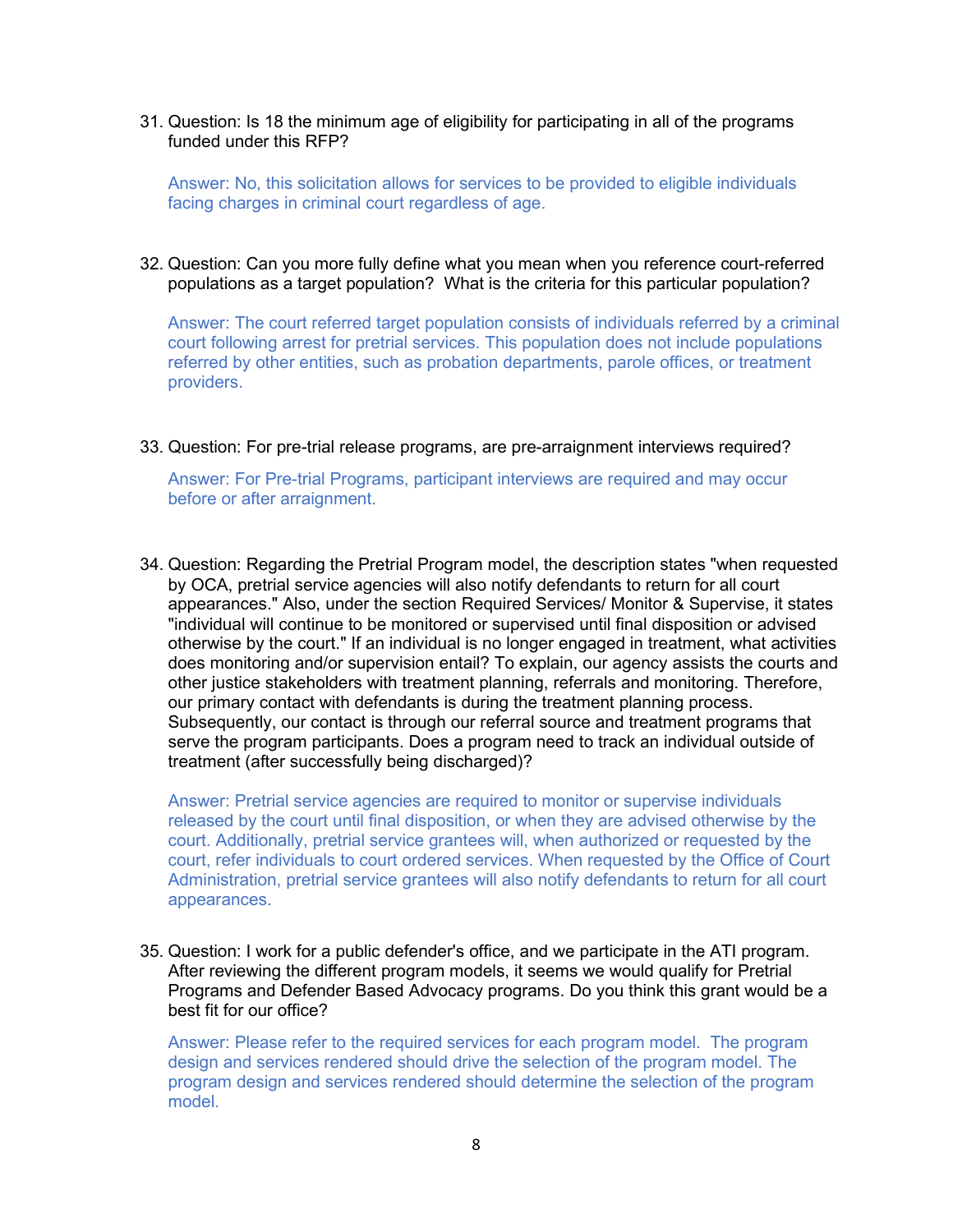31. Question: Is 18 the minimum age of eligibility for participating in all of the programs funded under this RFP?

Answer: No, this solicitation allows for services to be provided to eligible individuals facing charges in criminal court regardless of age.

32. Question: Can you more fully define what you mean when you reference court-referred populations as a target population? What is the criteria for this particular population?

Answer: The court referred target population consists of individuals referred by a criminal court following arrest for pretrial services. This population does not include populations referred by other entities, such as probation departments, parole offices, or treatment providers.

33. Question: For pre-trial release programs, are pre-arraignment interviews required?

Answer: For Pre-trial Programs, participant interviews are required and may occur before or after arraignment.

34. Question: Regarding the Pretrial Program model, the description states "when requested by OCA, pretrial service agencies will also notify defendants to return for all court appearances." Also, under the section Required Services/ Monitor & Supervise, it states "individual will continue to be monitored or supervised until final disposition or advised otherwise by the court." If an individual is no longer engaged in treatment, what activities does monitoring and/or supervision entail? To explain, our agency assists the courts and other justice stakeholders with treatment planning, referrals and monitoring. Therefore, our primary contact with defendants is during the treatment planning process. Subsequently, our contact is through our referral source and treatment programs that serve the program participants. Does a program need to track an individual outside of treatment (after successfully being discharged)?

Answer: Pretrial service agencies are required to monitor or supervise individuals released by the court until final disposition, or when they are advised otherwise by the court. Additionally, pretrial service grantees will, when authorized or requested by the court, refer individuals to court ordered services. When requested by the Office of Court Administration, pretrial service grantees will also notify defendants to return for all court appearances.

35. Question: I work for a public defender's office, and we participate in the ATI program. After reviewing the different program models, it seems we would qualify for Pretrial Programs and Defender Based Advocacy programs. Do you think this grant would be a best fit for our office?

Answer: Please refer to the required services for each program model. The program design and services rendered should drive the selection of the program model. The program design and services rendered should determine the selection of the program model.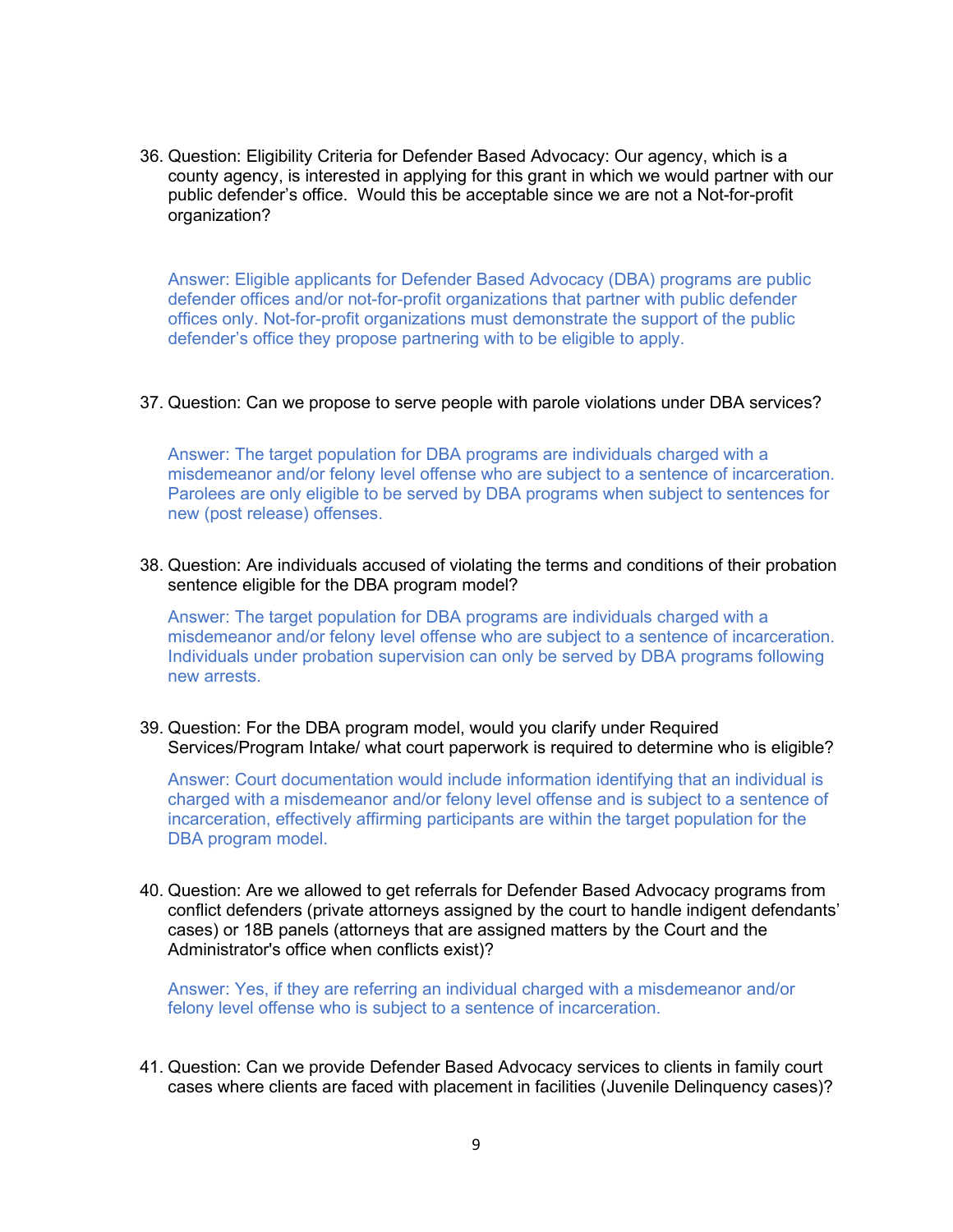36. Question: Eligibility Criteria for Defender Based Advocacy: Our agency, which is a county agency, is interested in applying for this grant in which we would partner with our public defender's office. Would this be acceptable since we are not a Not-for-profit organization?

Answer: Eligible applicants for Defender Based Advocacy (DBA) programs are public defender offices and/or not-for-profit organizations that partner with public defender offices only. Not-for-profit organizations must demonstrate the support of the public defender's office they propose partnering with to be eligible to apply.

37. Question: Can we propose to serve people with parole violations under DBA services?

Answer: The target population for DBA programs are individuals charged with a misdemeanor and/or felony level offense who are subject to a sentence of incarceration. Parolees are only eligible to be served by DBA programs when subject to sentences for new (post release) offenses.

38. Question: Are individuals accused of violating the terms and conditions of their probation sentence eligible for the DBA program model?

Answer: The target population for DBA programs are individuals charged with a misdemeanor and/or felony level offense who are subject to a sentence of incarceration. Individuals under probation supervision can only be served by DBA programs following new arrests.

39. Question: For the DBA program model, would you clarify under Required Services/Program Intake/ what court paperwork is required to determine who is eligible?

Answer: Court documentation would include information identifying that an individual is charged with a misdemeanor and/or felony level offense and is subject to a sentence of incarceration, effectively affirming participants are within the target population for the DBA program model.

40. Question: Are we allowed to get referrals for Defender Based Advocacy programs from conflict defenders (private attorneys assigned by the court to handle indigent defendants' cases) or 18B panels (attorneys that are assigned matters by the Court and the Administrator's office when conflicts exist)?

Answer: Yes, if they are referring an individual charged with a misdemeanor and/or felony level offense who is subject to a sentence of incarceration.

41. Question: Can we provide Defender Based Advocacy services to clients in family court cases where clients are faced with placement in facilities (Juvenile Delinquency cases)?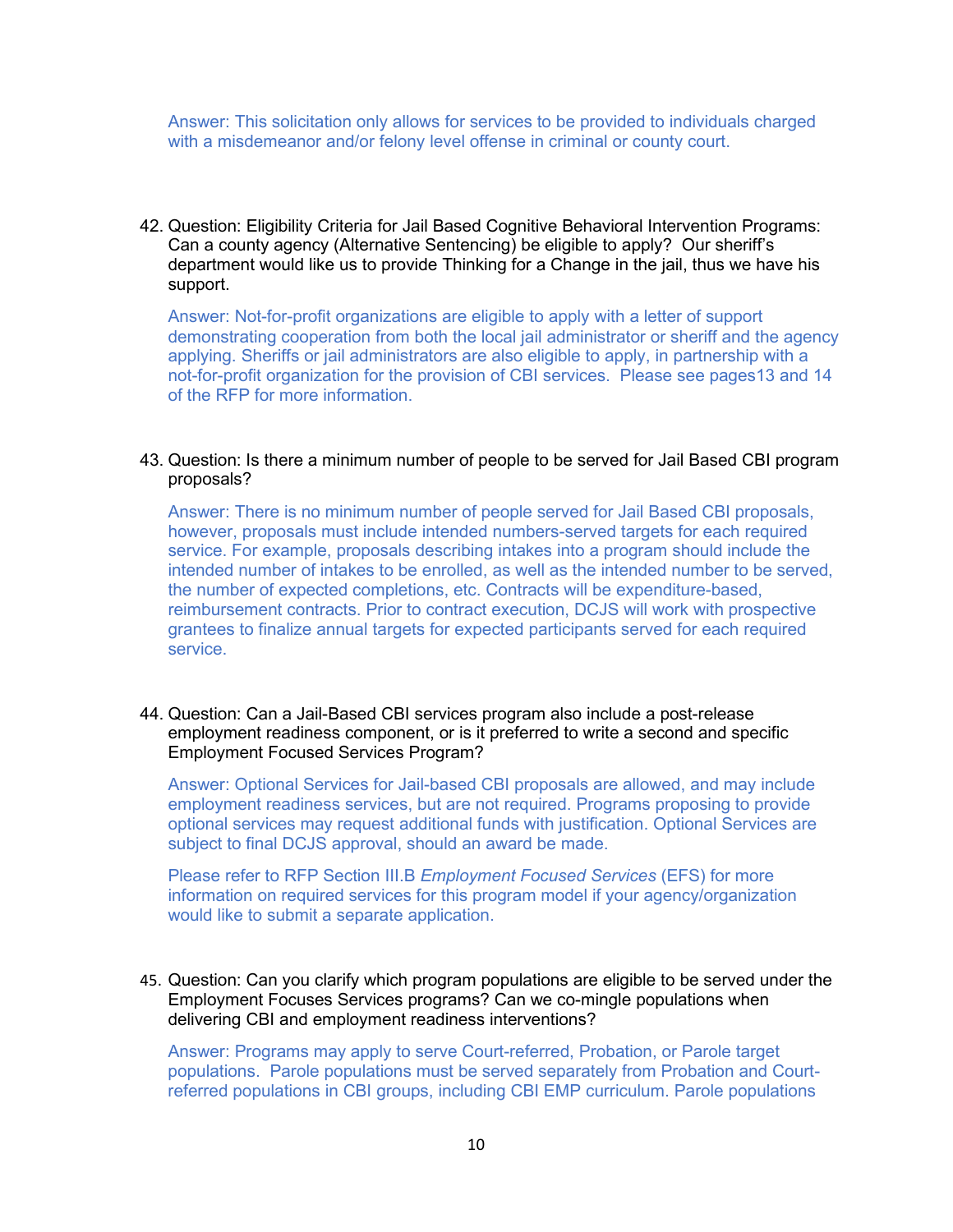Answer: This solicitation only allows for services to be provided to individuals charged with a misdemeanor and/or felony level offense in criminal or county court.

42. Question: Eligibility Criteria for Jail Based Cognitive Behavioral Intervention Programs: Can a county agency (Alternative Sentencing) be eligible to apply? Our sheriff's department would like us to provide Thinking for a Change in the jail, thus we have his support.

Answer: Not-for-profit organizations are eligible to apply with a letter of support demonstrating cooperation from both the local jail administrator or sheriff and the agency applying. Sheriffs or jail administrators are also eligible to apply, in partnership with a not-for-profit organization for the provision of CBI services. Please see pages13 and 14 of the RFP for more information.

#### 43. Question: Is there a minimum number of people to be served for Jail Based CBI program proposals?

Answer: There is no minimum number of people served for Jail Based CBI proposals, however, proposals must include intended numbers-served targets for each required service. For example, proposals describing intakes into a program should include the intended number of intakes to be enrolled, as well as the intended number to be served, the number of expected completions, etc. Contracts will be expenditure-based, reimbursement contracts. Prior to contract execution, DCJS will work with prospective grantees to finalize annual targets for expected participants served for each required service.

#### 44. Question: Can a Jail-Based CBI services program also include a post-release employment readiness component, or is it preferred to write a second and specific Employment Focused Services Program?

Answer: Optional Services for Jail-based CBI proposals are allowed, and may include employment readiness services, but are not required. Programs proposing to provide optional services may request additional funds with justification. Optional Services are subject to final DCJS approval, should an award be made.

Please refer to RFP Section III.B *Employment Focused Services* (EFS) for more information on required services for this program model if your agency/organization would like to submit a separate application.

#### 45. Question: Can you clarify which program populations are eligible to be served under the Employment Focuses Services programs? Can we co-mingle populations when delivering CBI and employment readiness interventions?

Answer: Programs may apply to serve Court-referred, Probation, or Parole target populations. Parole populations must be served separately from Probation and Courtreferred populations in CBI groups, including CBI EMP curriculum. Parole populations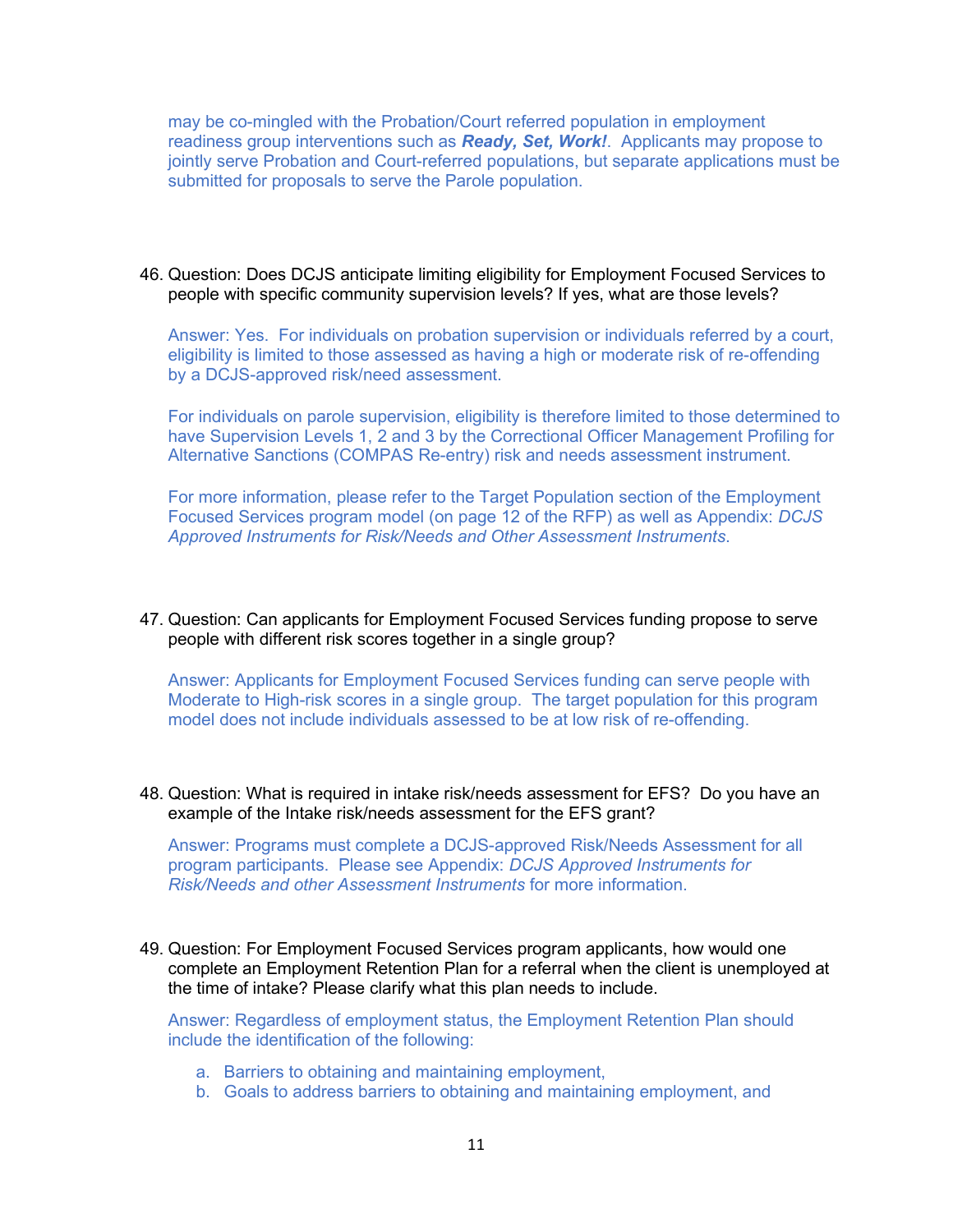may be co-mingled with the Probation/Court referred population in employment readiness group interventions such as *Ready, Set, Work!*. Applicants may propose to jointly serve Probation and Court-referred populations, but separate applications must be submitted for proposals to serve the Parole population.

46. Question: Does DCJS anticipate limiting eligibility for Employment Focused Services to people with specific community supervision levels? If yes, what are those levels?

Answer: Yes. For individuals on probation supervision or individuals referred by a court, eligibility is limited to those assessed as having a high or moderate risk of re-offending by a DCJS-approved risk/need assessment.

For individuals on parole supervision, eligibility is therefore limited to those determined to have Supervision Levels 1, 2 and 3 by the Correctional Officer Management Profiling for Alternative Sanctions (COMPAS Re-entry) risk and needs assessment instrument.

For more information, please refer to the Target Population section of the Employment Focused Services program model (on page 12 of the RFP) as well as Appendix: *DCJS Approved Instruments for Risk/Needs and Other Assessment Instruments*.

47. Question: Can applicants for Employment Focused Services funding propose to serve people with different risk scores together in a single group?

Answer: Applicants for Employment Focused Services funding can serve people with Moderate to High-risk scores in a single group. The target population for this program model does not include individuals assessed to be at low risk of re-offending.

48. Question: What is required in intake risk/needs assessment for EFS? Do you have an example of the Intake risk/needs assessment for the EFS grant?

Answer: Programs must complete a DCJS-approved Risk/Needs Assessment for all program participants. Please see Appendix: *DCJS Approved Instruments for Risk/Needs and other Assessment Instruments* for more information.

49. Question: For Employment Focused Services program applicants, how would one complete an Employment Retention Plan for a referral when the client is unemployed at the time of intake? Please clarify what this plan needs to include.

Answer: Regardless of employment status, the Employment Retention Plan should include the identification of the following:

- a. Barriers to obtaining and maintaining employment,
- b. Goals to address barriers to obtaining and maintaining employment, and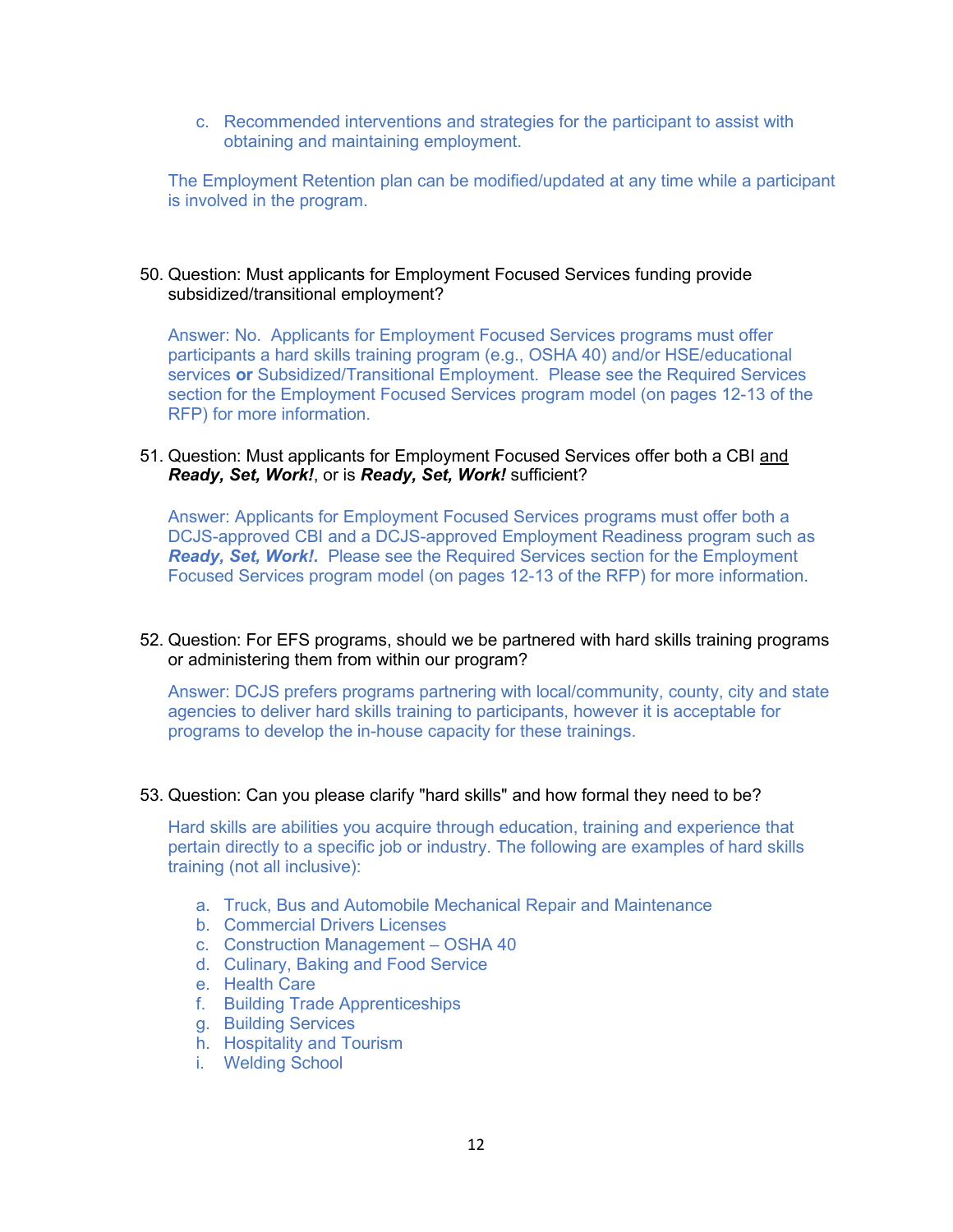c. Recommended interventions and strategies for the participant to assist with obtaining and maintaining employment.

The Employment Retention plan can be modified/updated at any time while a participant is involved in the program.

### 50. Question: Must applicants for Employment Focused Services funding provide subsidized/transitional employment?

Answer: No. Applicants for Employment Focused Services programs must offer participants a hard skills training program (e.g., OSHA 40) and/or HSE/educational services **or** Subsidized/Transitional Employment. Please see the Required Services section for the Employment Focused Services program model (on pages 12-13 of the RFP) for more information.

#### 51. Question: Must applicants for Employment Focused Services offer both a CBI and *Ready, Set, Work!*, or is *Ready, Set, Work!* sufficient?

Answer: Applicants for Employment Focused Services programs must offer both a DCJS-approved CBI and a DCJS-approved Employment Readiness program such as *Ready, Set, Work!.* Please see the Required Services section for the Employment Focused Services program model (on pages 12-13 of the RFP) for more information.

52. Question: For EFS programs, should we be partnered with hard skills training programs or administering them from within our program?

Answer: DCJS prefers programs partnering with local/community, county, city and state agencies to deliver hard skills training to participants, however it is acceptable for programs to develop the in-house capacity for these trainings.

### 53. Question: Can you please clarify "hard skills" and how formal they need to be?

Hard skills are abilities you acquire through education, training and experience that pertain directly to a specific job or industry. The following are examples of hard skills training (not all inclusive):

- a. Truck, Bus and Automobile Mechanical Repair and Maintenance
- b. Commercial Drivers Licenses
- c. Construction Management OSHA 40
- d. Culinary, Baking and Food Service
- e. Health Care
- f. Building Trade Apprenticeships
- g. Building Services
- h. Hospitality and Tourism
- i. Welding School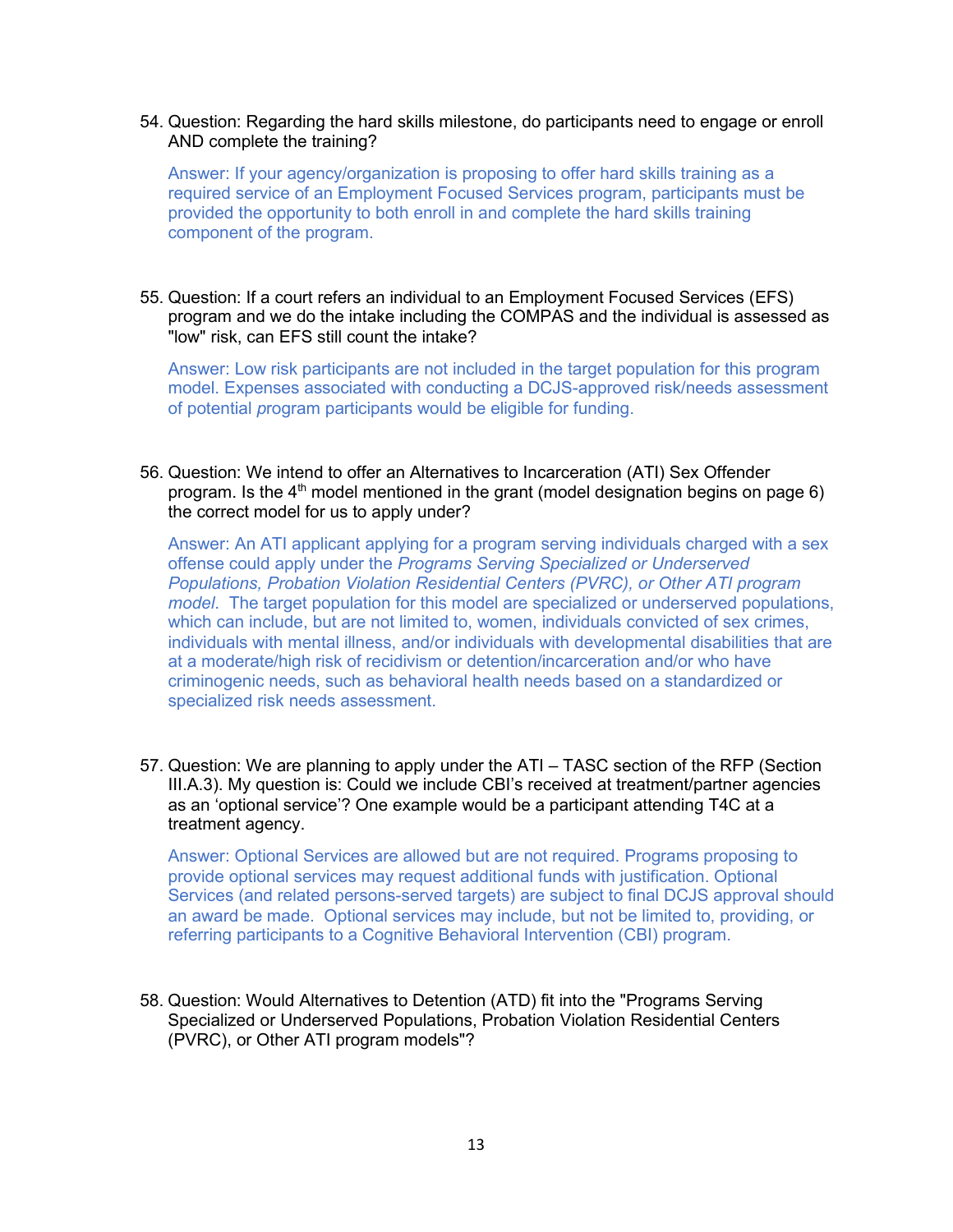54. Question: Regarding the hard skills milestone, do participants need to engage or enroll AND complete the training?

Answer: If your agency/organization is proposing to offer hard skills training as a required service of an Employment Focused Services program, participants must be provided the opportunity to both enroll in and complete the hard skills training component of the program.

55. Question: If a court refers an individual to an Employment Focused Services (EFS) program and we do the intake including the COMPAS and the individual is assessed as "low" risk, can EFS still count the intake?

Answer: Low risk participants are not included in the target population for this program model. Expenses associated with conducting a DCJS-approved risk/needs assessment of potential *p*rogram participants would be eligible for funding.

56. Question: We intend to offer an Alternatives to Incarceration (ATI) Sex Offender program. Is the  $4<sup>th</sup>$  model mentioned in the grant (model designation begins on page 6) the correct model for us to apply under?

Answer: An ATI applicant applying for a program serving individuals charged with a sex offense could apply under the *Programs Serving Specialized or Underserved Populations, Probation Violation Residential Centers (PVRC), or Other ATI program model*. The target population for this model are specialized or underserved populations, which can include, but are not limited to, women, individuals convicted of sex crimes, individuals with mental illness, and/or individuals with developmental disabilities that are at a moderate/high risk of recidivism or detention/incarceration and/or who have criminogenic needs, such as behavioral health needs based on a standardized or specialized risk needs assessment.

57. Question: We are planning to apply under the ATI – TASC section of the RFP (Section III.A.3). My question is: Could we include CBI's received at treatment/partner agencies as an 'optional service'? One example would be a participant attending T4C at a treatment agency.

Answer: Optional Services are allowed but are not required. Programs proposing to provide optional services may request additional funds with justification. Optional Services (and related persons-served targets) are subject to final DCJS approval should an award be made. Optional services may include, but not be limited to, providing, or referring participants to a Cognitive Behavioral Intervention (CBI) program.

58. Question: Would Alternatives to Detention (ATD) fit into the "Programs Serving Specialized or Underserved Populations, Probation Violation Residential Centers (PVRC), or Other ATI program models"?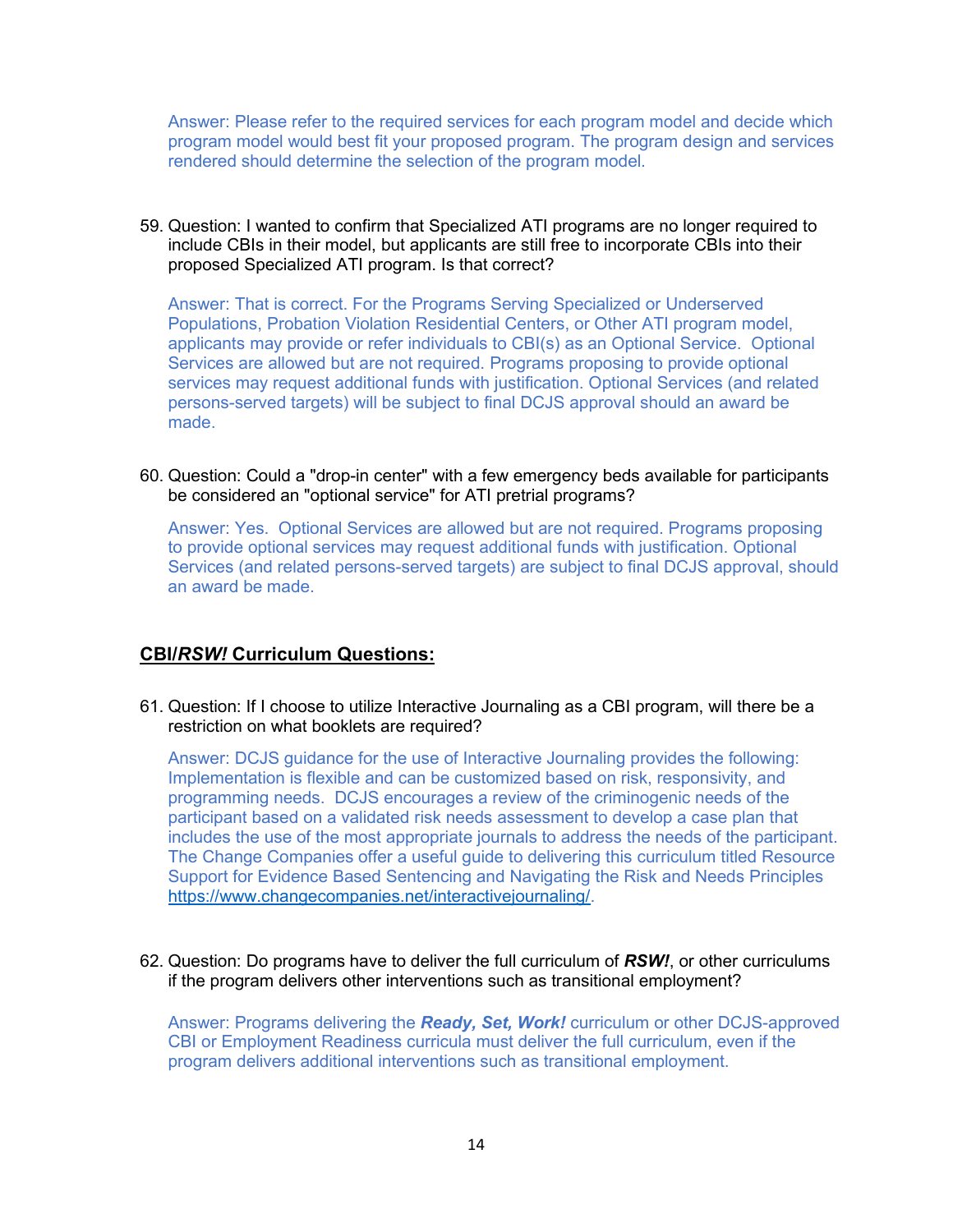Answer: Please refer to the required services for each program model and decide which program model would best fit your proposed program. The program design and services rendered should determine the selection of the program model.

59. Question: I wanted to confirm that Specialized ATI programs are no longer required to include CBIs in their model, but applicants are still free to incorporate CBIs into their proposed Specialized ATI program. Is that correct?

Answer: That is correct. For the Programs Serving Specialized or Underserved Populations, Probation Violation Residential Centers, or Other ATI program model, applicants may provide or refer individuals to CBI(s) as an Optional Service. Optional Services are allowed but are not required. Programs proposing to provide optional services may request additional funds with justification. Optional Services (and related persons-served targets) will be subject to final DCJS approval should an award be made.

60. Question: Could a "drop-in center" with a few emergency beds available for participants be considered an "optional service" for ATI pretrial programs?

Answer: Yes. Optional Services are allowed but are not required. Programs proposing to provide optional services may request additional funds with justification. Optional Services (and related persons-served targets) are subject to final DCJS approval, should an award be made.

## **CBI/***RSW!* **Curriculum Questions:**

61. Question: If I choose to utilize Interactive Journaling as a CBI program, will there be a restriction on what booklets are required?

Answer: DCJS guidance for the use of Interactive Journaling provides the following: Implementation is flexible and can be customized based on risk, responsivity, and programming needs. DCJS encourages a review of the criminogenic needs of the participant based on a validated risk needs assessment to develop a case plan that includes the use of the most appropriate journals to address the needs of the participant. The Change Companies offer a useful guide to delivering this curriculum titled Resource Support for Evidence Based Sentencing and Navigating the Risk and Needs Principles [https://www.changecompanies.net/interactivejournaling/.](https://www.changecompanies.net/interactivejournaling/)

62. Question: Do programs have to deliver the full curriculum of *RSW!*, or other curriculums if the program delivers other interventions such as transitional employment?

Answer: Programs delivering the *Ready, Set, Work!* curriculum or other DCJS-approved CBI or Employment Readiness curricula must deliver the full curriculum, even if the program delivers additional interventions such as transitional employment.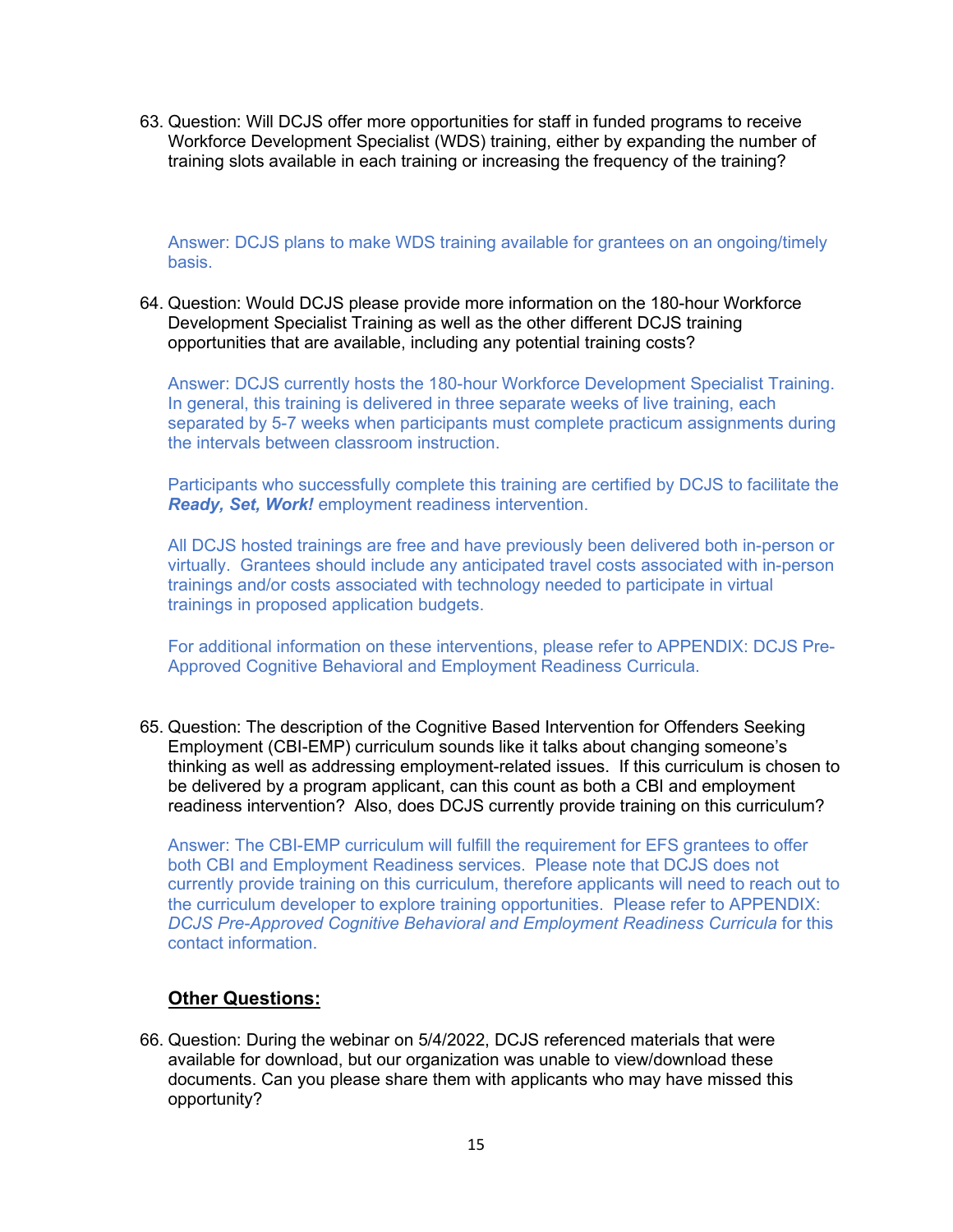63. Question: Will DCJS offer more opportunities for staff in funded programs to receive Workforce Development Specialist (WDS) training, either by expanding the number of training slots available in each training or increasing the frequency of the training?

Answer: DCJS plans to make WDS training available for grantees on an ongoing/timely basis.

64. Question: Would DCJS please provide more information on the 180-hour Workforce Development Specialist Training as well as the other different DCJS training opportunities that are available, including any potential training costs?

Answer: DCJS currently hosts the 180-hour Workforce Development Specialist Training. In general, this training is delivered in three separate weeks of live training, each separated by 5-7 weeks when participants must complete practicum assignments during the intervals between classroom instruction.

Participants who successfully complete this training are certified by DCJS to facilitate the *Ready, Set, Work!* employment readiness intervention.

All DCJS hosted trainings are free and have previously been delivered both in-person or virtually. Grantees should include any anticipated travel costs associated with in-person trainings and/or costs associated with technology needed to participate in virtual trainings in proposed application budgets.

For additional information on these interventions, please refer to APPENDIX: DCJS Pre-Approved Cognitive Behavioral and Employment Readiness Curricula.

65. Question: The description of the Cognitive Based Intervention for Offenders Seeking Employment (CBI-EMP) curriculum sounds like it talks about changing someone's thinking as well as addressing employment-related issues. If this curriculum is chosen to be delivered by a program applicant, can this count as both a CBI and employment readiness intervention? Also, does DCJS currently provide training on this curriculum?

Answer: The CBI-EMP curriculum will fulfill the requirement for EFS grantees to offer both CBI and Employment Readiness services. Please note that DCJS does not currently provide training on this curriculum, therefore applicants will need to reach out to the curriculum developer to explore training opportunities. Please refer to APPENDIX: *DCJS Pre-Approved Cognitive Behavioral and Employment Readiness Curricula* for this contact information.

# **Other Questions:**

66. Question: During the webinar on 5/4/2022, DCJS referenced materials that were available for download, but our organization was unable to view/download these documents. Can you please share them with applicants who may have missed this opportunity?